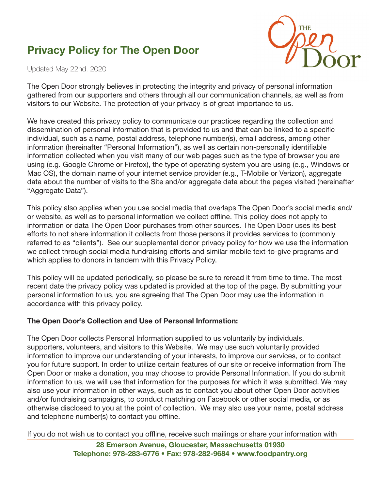# Privacy Policy for The Open Door



Updated May 22nd, 2020

The Open Door strongly believes in protecting the integrity and privacy of personal information gathered from our supporters and others through all our communication channels, as well as from visitors to our Website. The protection of your privacy is of great importance to us.

We have created this privacy policy to communicate our practices regarding the collection and dissemination of personal information that is provided to us and that can be linked to a specific individual, such as a name, postal address, telephone number(s), email address, among other information (hereinafter "Personal Information"), as well as certain non-personally identifiable information collected when you visit many of our web pages such as the type of browser you are using (e.g. Google Chrome or Firefox), the type of operating system you are using (e.g., Windows or Mac OS), the domain name of your internet service provider (e.g., T-Mobile or Verizon), aggregate data about the number of visits to the Site and/or aggregate data about the pages visited (hereinafter "Aggregate Data").

This policy also applies when you use social media that overlaps The Open Door's social media and/ or website, as well as to personal information we collect offline. This policy does not apply to information or data The Open Door purchases from other sources. The Open Door uses its best efforts to not share information it collects from those persons it provides services to (commonly referred to as "clients"). See our supplemental donor privacy policy for how we use the information we collect through social media fundraising efforts and similar mobile text-to-give programs and which applies to donors in tandem with this Privacy Policy.

This policy will be updated periodically, so please be sure to reread it from time to time. The most recent date the privacy policy was updated is provided at the top of the page. By submitting your personal information to us, you are agreeing that The Open Door may use the information in accordance with this privacy policy.

#### The Open Door's Collection and Use of Personal Information:

The Open Door collects Personal Information supplied to us voluntarily by individuals, supporters, volunteers, and visitors to this Website. We may use such voluntarily provided information to improve our understanding of your interests, to improve our services, or to contact you for future support. In order to utilize certain features of our site or receive information from The Open Door or make a donation, you may choose to provide Personal Information. If you do submit information to us, we will use that information for the purposes for which it was submitted. We may also use your information in other ways, such as to contact you about other Open Door activities and/or fundraising campaigns, to conduct matching on Facebook or other social media, or as otherwise disclosed to you at the point of collection. We may also use your name, postal address and telephone number(s) to contact you offline.

If you do not wish us to contact you offline, receive such mailings or share your information with

28 Emerson Avenue, Gloucester, Massachusetts 01930 Telephone: 978-283-6776 • Fax: 978-282-9684 • www.foodpantry.org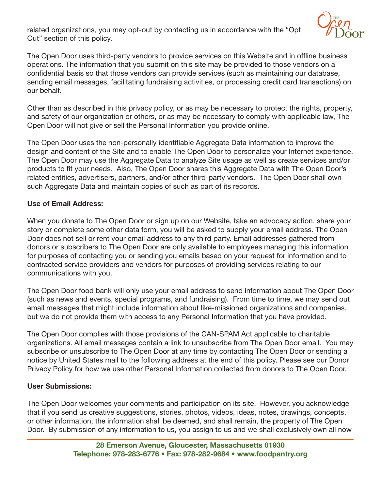related organizations, you may opt-out by contacting us in accordance with the "Opt Out" section of this policy.



The Open Door uses third-party vendors to provide services on this Website and in offline business operations. The information that you submit on this site may be provided to those vendors on a confidential basis so that those vendors can provide services (such as maintaining our database, sending email messages, facilitating fundraising activities, or processing credit card transactions) on our behalf.

Other than as described in this privacy policy, or as may be necessary to protect the rights, property, and safety of our organization or others, or as may be necessary to comply with applicable law, The Open Door will not give or sell the Personal Information you provide online.

The Open Door uses the non-personally identifiable Aggregate Data information to improve the design and content of the Site and to enable The Open Door to personalize your Internet experience. The Open Door may use the Aggregate Data to analyze Site usage as well as create services and/or products to fit your needs. Also, The Open Door shares this Aggregate Data with The Open Door's related entities, advertisers, partners, and/or other third-party vendors. The Open Door shall own such Aggregate Data and maintain copies of such as part of its records.

# Use of Email Address:

When you donate to The Open Door or sign up on our Website, take an advocacy action, share your story or complete some other data form, you will be asked to supply your email address. The Open Door does not sell or rent your email address to any third party. Email addresses gathered from donors or subscribers to The Open Door are only available to employees managing this information for purposes of contacting you or sending you emails based on your request for information and to contracted service providers and vendors for purposes of providing services relating to our communications with you.

The Open Door food bank will only use your email address to send information about The Open Door (such as news and events, special programs, and fundraising). From time to time, we may send out email messages that might include information about like-missioned organizations and companies, but we do not provide them with access to any Personal Information that you have provided.

The Open Door complies with those provisions of the CAN-SPAM Act applicable to charitable organizations. All email messages contain a link to unsubscribe from The Open Door email. You may subscribe or unsubscribe to The Open Door at any time by contacting The Open Door or sending a notice by United States mail to the following address at the end of this policy. Please see our Donor Privacy Policy for how we use other Personal Information collected from donors to The Open Door.

#### User Submissions:

The Open Door welcomes your comments and participation on its site. However, you acknowledge that if you send us creative suggestions, stories, photos, videos, ideas, notes, drawings, concepts, or other information, the information shall be deemed, and shall remain, the property of The Open Door. By submission of any information to us, you assign to us and we shall exclusively own all now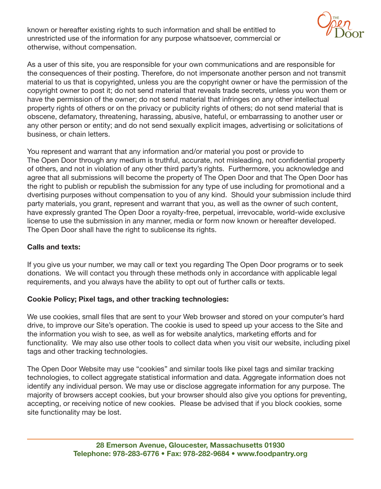known or hereafter existing rights to such information and shall be entitled to unrestricted use of the information for any purpose whatsoever, commercial or otherwise, without compensation.



As a user of this site, you are responsible for your own communications and are responsible for the consequences of their posting. Therefore, do not impersonate another person and not transmit material to us that is copyrighted, unless you are the copyright owner or have the permission of the copyright owner to post it; do not send material that reveals trade secrets, unless you won them or have the permission of the owner; do not send material that infringes on any other intellectual property rights of others or on the privacy or publicity rights of others; do not send material that is obscene, defamatory, threatening, harassing, abusive, hateful, or embarrassing to another user or any other person or entity; and do not send sexually explicit images, advertising or solicitations of business, or chain letters.

You represent and warrant that any information and/or material you post or provide to The Open Door through any medium is truthful, accurate, not misleading, not confidential property of others, and not in violation of any other third party's rights. Furthermore, you acknowledge and agree that all submissions will become the property of The Open Door and that The Open Door has the right to publish or republish the submission for any type of use including for promotional and a dvertising purposes without compensation to you of any kind. Should your submission include third party materials, you grant, represent and warrant that you, as well as the owner of such content, have expressly granted The Open Door a royalty-free, perpetual, irrevocable, world-wide exclusive license to use the submission in any manner, media or form now known or hereafter developed. The Open Door shall have the right to sublicense its rights.

# Calls and texts:

If you give us your number, we may call or text you regarding The Open Door programs or to seek donations. We will contact you through these methods only in accordance with applicable legal requirements, and you always have the ability to opt out of further calls or texts.

#### Cookie Policy; Pixel tags, and other tracking technologies:

We use cookies, small files that are sent to your Web browser and stored on your computer's hard drive, to improve our Site's operation. The cookie is used to speed up your access to the Site and the information you wish to see, as well as for website analytics, marketing efforts and for functionality. We may also use other tools to collect data when you visit our website, including pixel tags and other tracking technologies.

The Open Door Website may use "cookies" and similar tools like pixel tags and similar tracking technologies, to collect aggregate statistical information and data. Aggregate information does not identify any individual person. We may use or disclose aggregate information for any purpose. The majority of browsers accept cookies, but your browser should also give you options for preventing, accepting, or receiving notice of new cookies. Please be advised that if you block cookies, some site functionality may be lost.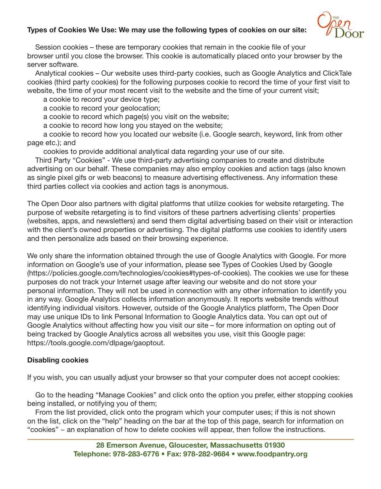# Types of Cookies We Use: We may use the following types of cookies on our site:



 Session cookies – these are temporary cookies that remain in the cookie file of your browser until you close the browser. This cookie is automatically placed onto your browser by the server software.

 Analytical cookies – Our website uses third-party cookies, such as Google Analytics and ClickTale cookies (third party cookies) for the following purposes cookie to record the time of your first visit to website, the time of your most recent visit to the website and the time of your current visit;

a cookie to record your device type;

a cookie to record your geolocation;

a cookie to record which page(s) you visit on the website;

a cookie to record how long you stayed on the website;

 a cookie to record how you located our website (i.e. Google search, keyword, link from other page etc.); and

cookies to provide additional analytical data regarding your use of our site.

 Third Party "Cookies" - We use third-party advertising companies to create and distribute advertising on our behalf. These companies may also employ cookies and action tags (also known as single pixel gifs or web beacons) to measure advertising effectiveness. Any information these third parties collect via cookies and action tags is anonymous.

The Open Door also partners with digital platforms that utilize cookies for website retargeting. The purpose of website retargeting is to find visitors of these partners advertising clients' properties (websites, apps, and newsletters) and send them digital advertising based on their visit or interaction with the client's owned properties or advertising. The digital platforms use cookies to identify users and then personalize ads based on their browsing experience.

We only share the information obtained through the use of Google Analytics with Google. For more information on Google's use of your information, please see Types of Cookies Used by Google (https://policies.google.com/technologies/cookies#types-of-cookies). The cookies we use for these purposes do not track your Internet usage after leaving our website and do not store your personal information. They will not be used in connection with any other information to identify you in any way. Google Analytics collects information anonymously. It reports website trends without identifying individual visitors. However, outside of the Google Analytics platform, The Open Door may use unique IDs to link Personal Information to Google Analytics data. You can opt out of Google Analytics without affecting how you visit our site – for more information on opting out of being tracked by Google Analytics across all websites you use, visit this Google page: https://tools.google.com/dlpage/gaoptout.

#### Disabling cookies

If you wish, you can usually adjust your browser so that your computer does not accept cookies:

 Go to the heading "Manage Cookies" and click onto the option you prefer, either stopping cookies being installed, or notifying you of them;

 From the list provided, click onto the program which your computer uses; if this is not shown on the list, click on the "help" heading on the bar at the top of this page, search for information on "cookies" − an explanation of how to delete cookies will appear, then follow the instructions.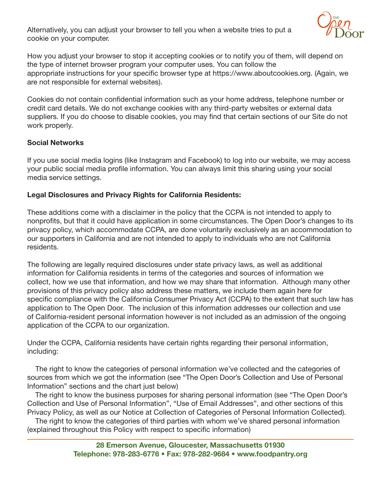Alternatively, you can adjust your browser to tell you when a website tries to put a cookie on your computer.



How you adjust your browser to stop it accepting cookies or to notify you of them, will depend on the type of internet browser program your computer uses. You can follow the appropriate instructions for your specific browser type at https://www.aboutcookies.org. (Again, we are not responsible for external websites).

Cookies do not contain confidential information such as your home address, telephone number or credit card details. We do not exchange cookies with any third-party websites or external data suppliers. If you do choose to disable cookies, you may find that certain sections of our Site do not work properly.

## Social Networks

If you use social media logins (like Instagram and Facebook) to log into our website, we may access your public social media profile information. You can always limit this sharing using your social media service settings.

## Legal Disclosures and Privacy Rights for California Residents:

These additions come with a disclaimer in the policy that the CCPA is not intended to apply to nonprofits, but that it could have application in some circumstances. The Open Door's changes to its privacy policy, which accommodate CCPA, are done voluntarily exclusively as an accommodation to our supporters in California and are not intended to apply to individuals who are not California residents.

The following are legally required disclosures under state privacy laws, as well as additional information for California residents in terms of the categories and sources of information we collect, how we use that information, and how we may share that information. Although many other provisions of this privacy policy also address these matters, we include them again here for specific compliance with the California Consumer Privacy Act (CCPA) to the extent that such law has application to The Open Door. The inclusion of this information addresses our collection and use of California-resident personal information however is not included as an admission of the ongoing application of the CCPA to our organization.

Under the CCPA, California residents have certain rights regarding their personal information, including:

 The right to know the categories of personal information we've collected and the categories of sources from which we got the information (see "The Open Door's Collection and Use of Personal Information" sections and the chart just below)

 The right to know the business purposes for sharing personal information (see "The Open Door's Collection and Use of Personal Information", "Use of Email Addresses", and other sections of this Privacy Policy, as well as our Notice at Collection of Categories of Personal Information Collected).

 The right to know the categories of third parties with whom we've shared personal information (explained throughout this Policy with respect to specific information)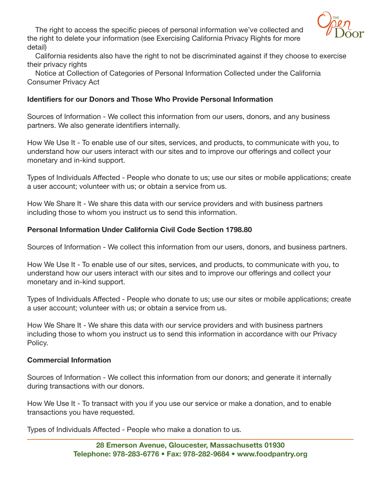

 The right to access the specific pieces of personal information we've collected and the right to delete your information (see Exercising California Privacy Rights for more detail)

 California residents also have the right to not be discriminated against if they choose to exercise their privacy rights

 Notice at Collection of Categories of Personal Information Collected under the California Consumer Privacy Act

#### Identifiers for our Donors and Those Who Provide Personal Information

Sources of Information - We collect this information from our users, donors, and any business partners. We also generate identifiers internally.

How We Use It - To enable use of our sites, services, and products, to communicate with you, to understand how our users interact with our sites and to improve our offerings and collect your monetary and in-kind support.

Types of Individuals Affected - People who donate to us; use our sites or mobile applications; create a user account; volunteer with us; or obtain a service from us.

How We Share It - We share this data with our service providers and with business partners including those to whom you instruct us to send this information.

## Personal Information Under California Civil Code Section 1798.80

Sources of Information - We collect this information from our users, donors, and business partners.

How We Use It - To enable use of our sites, services, and products, to communicate with you, to understand how our users interact with our sites and to improve our offerings and collect your monetary and in-kind support.

Types of Individuals Affected - People who donate to us; use our sites or mobile applications; create a user account; volunteer with us; or obtain a service from us.

How We Share It - We share this data with our service providers and with business partners including those to whom you instruct us to send this information in accordance with our Privacy Policy.

#### Commercial Information

Sources of Information - We collect this information from our donors; and generate it internally during transactions with our donors.

How We Use It - To transact with you if you use our service or make a donation, and to enable transactions you have requested.

Types of Individuals Affected - People who make a donation to us.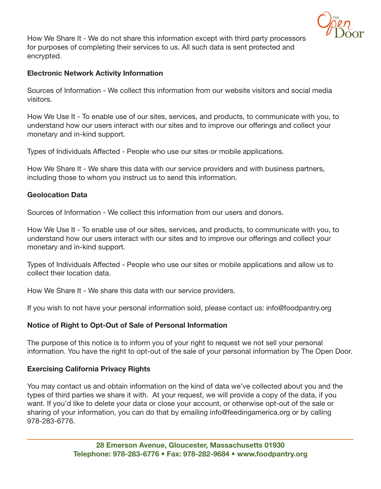

How We Share It - We do not share this information except with third party processors for purposes of completing their services to us. All such data is sent protected and encrypted.

## Electronic Network Activity Information

Sources of Information - We collect this information from our website visitors and social media visitors.

How We Use It - To enable use of our sites, services, and products, to communicate with you, to understand how our users interact with our sites and to improve our offerings and collect your monetary and in-kind support.

Types of Individuals Affected - People who use our sites or mobile applications.

How We Share It - We share this data with our service providers and with business partners, including those to whom you instruct us to send this information.

#### Geolocation Data

Sources of Information - We collect this information from our users and donors.

How We Use It - To enable use of our sites, services, and products, to communicate with you, to understand how our users interact with our sites and to improve our offerings and collect your monetary and in-kind support.

Types of Individuals Affected - People who use our sites or mobile applications and allow us to collect their location data.

How We Share It - We share this data with our service providers.

If you wish to not have your personal information sold, please contact us: info@foodpantry.org

#### Notice of Right to Opt-Out of Sale of Personal Information

The purpose of this notice is to inform you of your right to request we not sell your personal information. You have the right to opt-out of the sale of your personal information by The Open Door.

#### Exercising California Privacy Rights

You may contact us and obtain information on the kind of data we've collected about you and the types of third parties we share it with. At your request, we will provide a copy of the data, if you want. If you'd like to delete your data or close your account, or otherwise opt-out of the sale or sharing of your information, you can do that by emailing info@feedingamerica.org or by calling 978-283-6776.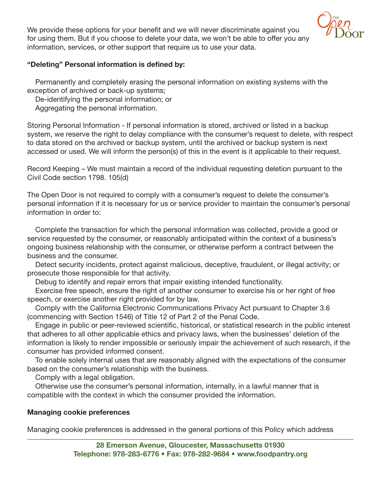

We provide these options for your benefit and we will never discriminate against you for using them. But if you choose to delete your data, we won't be able to offer you any information, services, or other support that require us to use your data.

# "Deleting" Personal information is defined by:

 Permanently and completely erasing the personal information on existing systems with the exception of archived or back-up systems;

De-identifying the personal information; or

Aggregating the personal information.

Storing Personal Information - If personal information is stored, archived or listed in a backup system, we reserve the right to delay compliance with the consumer's request to delete, with respect to data stored on the archived or backup system, until the archived or backup system is next accessed or used. We will inform the person(s) of this in the event is it applicable to their request.

Record Keeping – We must maintain a record of the individual requesting deletion pursuant to the Civil Code section 1798. 105(d)

The Open Door is not required to comply with a consumer's request to delete the consumer's personal information if it is necessary for us or service provider to maintain the consumer's personal information in order to:

 Complete the transaction for which the personal information was collected, provide a good or service requested by the consumer, or reasonably anticipated within the context of a business's ongoing business relationship with the consumer, or otherwise perform a contract between the business and the consumer.

 Detect security incidents, protect against malicious, deceptive, fraudulent, or illegal activity; or prosecute those responsible for that activity.

Debug to identify and repair errors that impair existing intended functionality.

 Exercise free speech, ensure the right of another consumer to exercise his or her right of free speech, or exercise another right provided for by law.

 Comply with the California Electronic Communications Privacy Act pursuant to Chapter 3.6 (commencing with Section 1546) of Title 12 of Part 2 of the Penal Code.

 Engage in public or peer-reviewed scientific, historical, or statistical research in the public interest that adheres to all other applicable ethics and privacy laws, when the businesses' deletion of the information is likely to render impossible or seriously impair the achievement of such research, if the consumer has provided informed consent.

 To enable solely internal uses that are reasonably aligned with the expectations of the consumer based on the consumer's relationship with the business.

Comply with a legal obligation.

 Otherwise use the consumer's personal information, internally, in a lawful manner that is compatible with the context in which the consumer provided the information.

#### Managing cookie preferences

Managing cookie preferences is addressed in the general portions of this Policy which address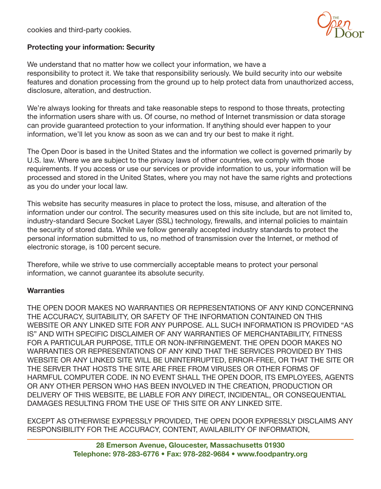cookies and third-party cookies.



#### Protecting your information: Security

We understand that no matter how we collect your information, we have a responsibility to protect it. We take that responsibility seriously. We build security into our website features and donation processing from the ground up to help protect data from unauthorized access, disclosure, alteration, and destruction.

We're always looking for threats and take reasonable steps to respond to those threats, protecting the information users share with us. Of course, no method of Internet transmission or data storage can provide guaranteed protection to your information. If anything should ever happen to your information, we'll let you know as soon as we can and try our best to make it right.

The Open Door is based in the United States and the information we collect is governed primarily by U.S. law. Where we are subject to the privacy laws of other countries, we comply with those requirements. If you access or use our services or provide information to us, your information will be processed and stored in the United States, where you may not have the same rights and protections as you do under your local law.

This website has security measures in place to protect the loss, misuse, and alteration of the information under our control. The security measures used on this site include, but are not limited to, industry-standard Secure Socket Layer (SSL) technology, firewalls, and internal policies to maintain the security of stored data. While we follow generally accepted industry standards to protect the personal information submitted to us, no method of transmission over the Internet, or method of electronic storage, is 100 percent secure.

Therefore, while we strive to use commercially acceptable means to protect your personal information, we cannot guarantee its absolute security.

#### **Warranties**

THE OPEN DOOR MAKES NO WARRANTIES OR REPRESENTATIONS OF ANY KIND CONCERNING THE ACCURACY, SUITABILITY, OR SAFETY OF THE INFORMATION CONTAINED ON THIS WEBSITE OR ANY LINKED SITE FOR ANY PURPOSE. ALL SUCH INFORMATION IS PROVIDED "AS IS" AND WITH SPECIFIC DISCLAIMER OF ANY WARRANTIES OF MERCHANTABILITY, FITNESS FOR A PARTICULAR PURPOSE, TITLE OR NON-INFRINGEMENT. THE OPEN DOOR MAKES NO WARRANTIES OR REPRESENTATIONS OF ANY KIND THAT THE SERVICES PROVIDED BY THIS WEBSITE OR ANY LINKED SITE WILL BE UNINTERRUPTED, ERROR-FREE, OR THAT THE SITE OR THE SERVER THAT HOSTS THE SITE ARE FREE FROM VIRUSES OR OTHER FORMS OF HARMFUL COMPUTER CODE. IN NO EVENT SHALL THE OPEN DOOR, ITS EMPLOYEES, AGENTS OR ANY OTHER PERSON WHO HAS BEEN INVOLVED IN THE CREATION, PRODUCTION OR DELIVERY OF THIS WEBSITE, BE LIABLE FOR ANY DIRECT, INCIDENTAL, OR CONSEQUENTIAL DAMAGES RESULTING FROM THE USE OF THIS SITE OR ANY LINKED SITE.

EXCEPT AS OTHERWISE EXPRESSLY PROVIDED, THE OPEN DOOR EXPRESSLY DISCLAIMS ANY RESPONSIBILITY FOR THE ACCURACY, CONTENT, AVAILABILITY OF INFORMATION,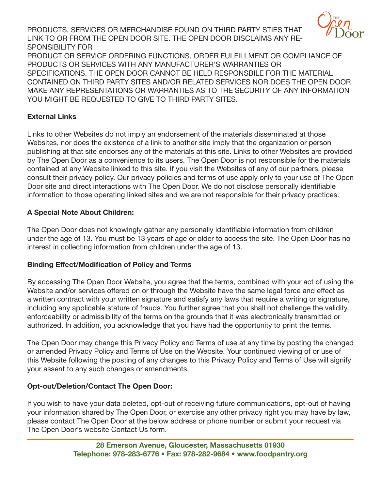PRODUCTS, SERVICES OR MERCHANDISE FOUND ON THIRD PARTY STIES THAT LINK TO OR FROM THE OPEN DOOR SITE. THE OPEN DOOR DISCLAIMS ANY RE-SPONSIBILITY FOR



PRODUCT OR SERVICE ORDERING FUNCTIONS, ORDER FULFILLMENT OR COMPLIANCE OF PRODUCTS OR SERVICES WITH ANY MANUFACTURER'S WARRANTIES OR SPECIFICATIONS. THE OPEN DOOR CANNOT BE HELD RESPONSBILE FOR THE MATERIAL CONTAINED ON THIRD PARTY SITES AND/OR RELATED SERVICES NOR DOES THE OPEN DOOR MAKE ANY REPRESENTATIONS OR WARRANTIES AS TO THE SECURITY OF ANY INFORMATION YOU MIGHT BE REQUESTED TO GIVE TO THIRD PARTY SITES.

# External Links

Links to other Websites do not imply an endorsement of the materials disseminated at those Websites, nor does the existence of a link to another site imply that the organization or person publishing at that site endorses any of the materials at this site. Links to other Websites are provided by The Open Door as a convenience to its users. The Open Door is not responsible for the materials contained at any Website linked to this site. If you visit the Websites of any of our partners, please consult their privacy policy. Our privacy policies and terms of use apply only to your use of The Open Door site and direct interactions with The Open Door. We do not disclose personally identifiable information to those operating linked sites and we are not responsible for their privacy practices.

# A Special Note About Children:

The Open Door does not knowingly gather any personally identifiable information from children under the age of 13. You must be 13 years of age or older to access the site. The Open Door has no interest in collecting information from children under the age of 13.

# Binding Effect/Modification of Policy and Terms

By accessing The Open Door Website, you agree that the terms, combined with your act of using the Website and/or services offered on or through the Website have the same legal force and effect as a written contract with your written signature and satisfy any laws that require a writing or signature, including any applicable stature of frauds. You further agree that you shall not challenge the validity, enforceability or admissibility of the terms on the grounds that it was electronically transmitted or authorized. In addition, you acknowledge that you have had the opportunity to print the terms.

The Open Door may change this Privacy Policy and Terms of use at any time by posting the changed or amended Privacy Policy and Terms of Use on the Website. Your continued viewing of or use of this Website following the posting of any changes to this Privacy Policy and Terms of Use will signify your assent to any such changes or amendments.

# Opt-out/Deletion/Contact The Open Door:

If you wish to have your data deleted, opt-out of receiving future communications, opt-out of having your information shared by The Open Door, or exercise any other privacy right you may have by law, please contact The Open Door at the below address or phone number or submit your request via The Open Door's website Contact Us form.